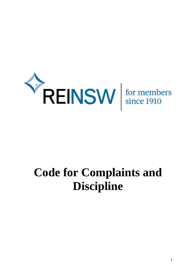

# **Code for Complaints and Discipline**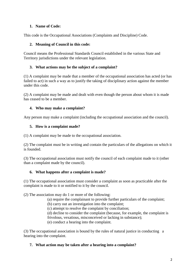## **1. Name of Code:**

This code is the Occupational Associations (Complaints and Discipline) Code.

## **2. Meaning of Council in this code:**

Council means the Professional Standards Council established in the various State and Territory jurisdictions under the relevant legislation.

## **3. What actions may be the subject of a complaint?**

(1) A complaint may be made that a member of the occupational association has acted (or has failed to act) in such a way as to justify the taking of disciplinary action against the member under this code.

(2) A complaint may be made and dealt with even though the person about whom it is made has ceased to be a member.

## **4. Who may make a complaint?**

Any person may make a complaint (including the occupational association and the council).

## **5. How is a complaint made?**

(1) A complaint may be made to the occupational association.

(2) The complaint must be in writing and contain the particulars of the allegations on which it is founded.

(3) The occupational association must notify the council of each complaint made to it (other than a complaint made by the council).

## **6. What happens after a complaint is made?**

(1) The occupational association must consider a complaint as soon as practicable after the complaint is made to it or notified to it by the council.

(2) The association may do 1 or more of the following:

(a) require the complainant to provide further particulars of the complaint;

(b) carry out an investigation into the complaint;

(c) attempt to resolve the complaint by conciliation;

(d) decline to consider the complaint (because, for example, the complaint is frivolous, vexatious, misconceived or lacking in substance);

(e) conduct a hearing into the complaint.

(3) The occupational association is bound by the rules of natural justice in conducting a hearing into the complaint.

## **7. What action may be taken after a hearing into a complaint?**